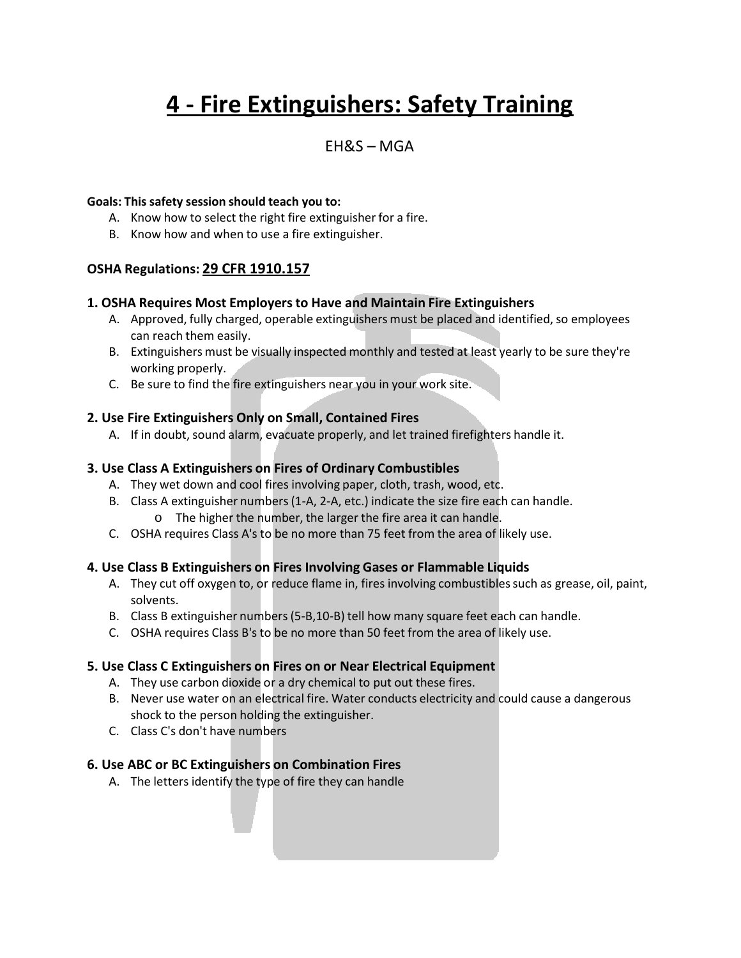# **4 - Fire Extinguishers: Safety Training**

### EH&S – MGA

#### **Goals: This safety session should teach you to:**

- A. Know how to select the right fire extinguisher for a fire.
- B. Know how and when to use a fire extinguisher.

#### **OSHA Regulations: 29 CFR 1910.157**

#### **1. OSHA Requires Most Employersto Have and Maintain Fire Extinguishers**

- A. Approved, fully charged, operable extinguishers must be placed and identified, so employees can reach them easily.
- B. Extinguishers must be visually inspected monthly and tested at least yearly to be sure they're working properly.
- C. Be sure to find the fire extinguishers near you in your work site.

#### **2. Use Fire Extinguishers Only on Small, Contained Fires**

A. If in doubt, sound alarm, evacuate properly, and let trained firefighters handle it.

#### **3. Use Class A Extinguishers on Fires of Ordinary Combustibles**

- A. They wet down and cool fires involving paper, cloth, trash, wood, etc.
- B. Class A extinguisher numbers(1-A, 2-A, etc.) indicate the size fire each can handle. o The higher the number, the larger the fire area it can handle.
- C. OSHA requires Class A's to be no more than 75 feet from the area of likely use.

#### **4. Use Class B Extinguishers on Fires Involving Gases or Flammable Liquids**

- A. They cut off oxygen to, or reduce flame in, fires involving combustibles such as grease, oil, paint, solvents.
- B. Class B extinguisher numbers(5-B,10-B) tell how many square feet each can handle.
- C. OSHA requires Class B's to be no more than 50 feet from the area of likely use.

#### **5. Use Class C Extinguishers on Fires on or Near Electrical Equipment**

- A. They use carbon dioxide or a dry chemical to put out these fires.
- B. Never use water on an electrical fire. Water conducts electricity and could cause a dangerous shock to the person holding the extinguisher.
- C. Class C's don't have numbers

#### **6. Use ABC or BC Extinguishers on Combination Fires**

A. The letters identify the type of fire they can handle